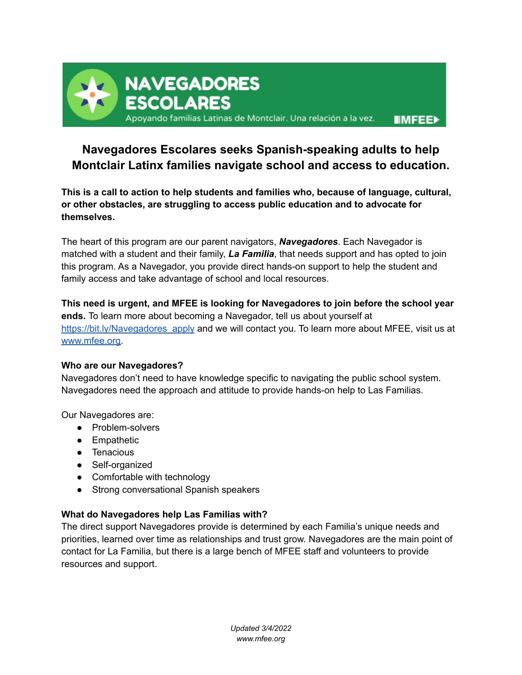

# **Navegadores Escolares seeks Spanish-speaking adults to help Montclair Latinx families navigate school and access to education.**

**This is a call to action to help students and families who, because of language, cultural, or other obstacles, are struggling to access public education and to advocate for themselves.**

The heart of this program are our parent navigators, *Navegadores*. Each Navegador is matched with a student and their family, *La Familia*, that needs support and has opted to join this program. As a Navegador, you provide direct hands-on support to help the student and family access and take advantage of school and local resources.

**This need is urgent, and MFEE is looking for Navegadores to join before the school year ends.** To learn more about becoming a Navegador, tell us about yourself at [https://bit.ly/Navegadores\\_apply](https://bit.ly/Navegadores_apply) and we will contact you. To learn more about MFEE, visit us at [www.mfee.org.](http://www.mfee.org)

#### **Who are our Navegadores?**

Navegadores don't need to have knowledge specific to navigating the public school system. Navegadores need the approach and attitude to provide hands-on help to Las Familias.

Our Navegadores are:

- Problem-solvers
- Empathetic
- Tenacious
- Self-organized
- Comfortable with technology
- Strong conversational Spanish speakers

### **What do Navegadores help Las Familias with?**

The direct support Navegadores provide is determined by each Familia's unique needs and priorities, learned over time as relationships and trust grow. Navegadores are the main point of contact for La Familia, but there is a large bench of MFEE staff and volunteers to provide resources and support.